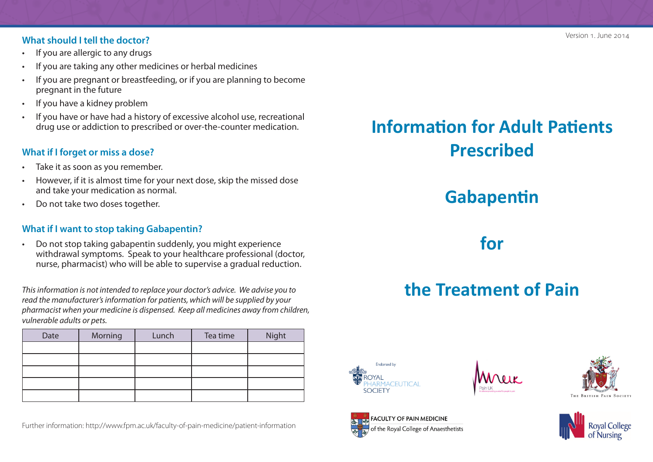#### **What should I tell the doctor?**

- If you are allergic to any drugs
- If you are taking any other medicines or herbal medicines
- If you are pregnant or breastfeeding, or if you are planning to become pregnant in the future
- If you have a kidney problem
- If you have or have had a history of excessive alcohol use, recreational drug use or addiction to prescribed or over-the-counter medication.

#### **What if I forget or miss a dose?**

- Take it as soon as you remember.
- However, if it is almost time for your next dose, skip the missed dose and take your medication as normal.
- Do not take two doses together.

#### **What if I want to stop taking Gabapentin?**

• Do not stop taking gabapentin suddenly, you might experience withdrawal symptoms. Speak to your healthcare professional (doctor, nurse, pharmacist) who will be able to supervise a gradual reduction.

*This information is not intended to replace your doctor's advice. We advise you to read the manufacturer's information for patients, which will be supplied by your pharmacist when your medicine is dispensed. Keep all medicines away from children, vulnerable adults or pets.* 

| Date | Morning | Lunch | Tea time | Night |
|------|---------|-------|----------|-------|
|      |         |       |          |       |
|      |         |       |          |       |
|      |         |       |          |       |
|      |         |       |          |       |
|      |         |       |          |       |

Further information: http://www.fpm.ac.uk/faculty-of-pain-medicine/patient-information

## **Information for Adult Patients Prescribed**

### **Gabapentin**

### **for**

# **the Treatment of Pain**